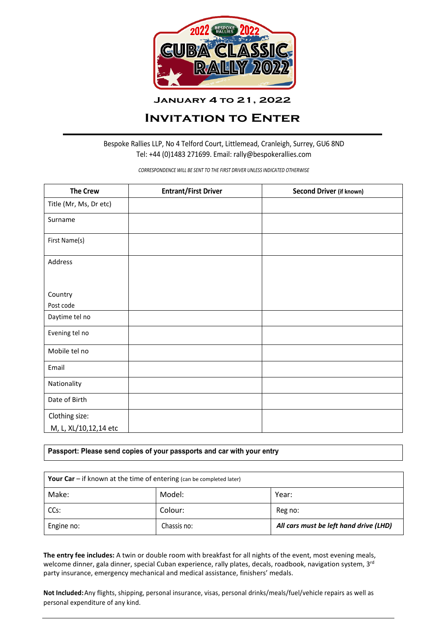

**January 4 to 21, 2022**

# **Invitation to Enter**

Bespoke Rallies LLP, No 4 Telford Court, Littlemead, Cranleigh, Surrey, GU6 8ND Tel: +44 (0)1483 271699. Email: rally@bespokerallies.com

*CORRESPONDENCE WILL BE SENT TO THE FIRST DRIVER UNLESS INDICATED OTHERWISE*

| <b>The Crew</b>        | <b>Entrant/First Driver</b> | Second Driver (if known) |
|------------------------|-----------------------------|--------------------------|
| Title (Mr, Ms, Dr etc) |                             |                          |
| Surname                |                             |                          |
| First Name(s)          |                             |                          |
| Address                |                             |                          |
|                        |                             |                          |
| Country                |                             |                          |
| Post code              |                             |                          |
| Daytime tel no         |                             |                          |
| Evening tel no         |                             |                          |
| Mobile tel no          |                             |                          |
| Email                  |                             |                          |
| Nationality            |                             |                          |
| Date of Birth          |                             |                          |
| Clothing size:         |                             |                          |
| M, L, XL/10,12,14 etc  |                             |                          |

## **Passport: Please send copies of your passports and car with your entry**

| <b>Your Car</b> $-$ if known at the time of entering (can be completed later) |             |                                        |
|-------------------------------------------------------------------------------|-------------|----------------------------------------|
| Make:                                                                         | Model:      | Year:                                  |
| CCs:                                                                          | Colour:     | Reg no:                                |
| Engine no:                                                                    | Chassis no: | All cars must be left hand drive (LHD) |

**The entry fee includes:** A twin or double room with breakfast for all nights of the event, most evening meals, welcome dinner, gala dinner, special Cuban experience, rally plates, decals, roadbook, navigation system, 3rd party insurance, emergency mechanical and medical assistance, finishers' medals.

**Not Included:**Any flights, shipping, personal insurance, visas, personal drinks/meals/fuel/vehicle repairs as well as personal expenditure of any kind.